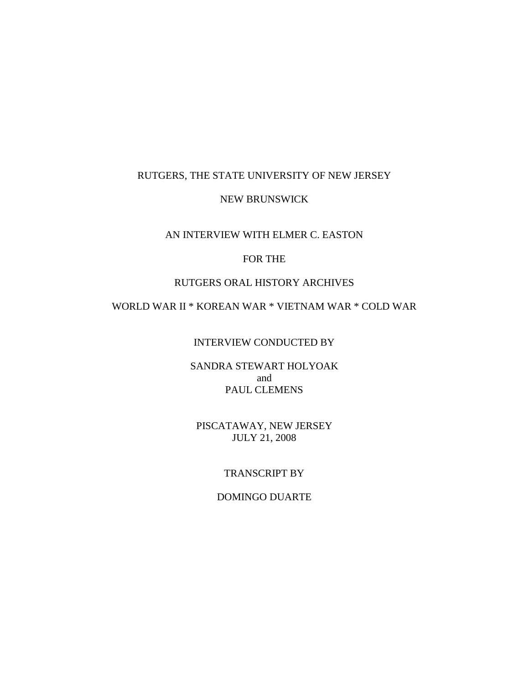#### RUTGERS, THE STATE UNIVERSITY OF NEW JERSEY

#### NEW BRUNSWICK

#### AN INTERVIEW WITH ELMER C. EASTON

### FOR THE

#### RUTGERS ORAL HISTORY ARCHIVES

# WORLD WAR II \* KOREAN WAR \* VIETNAM WAR \* COLD WAR

#### INTERVIEW CONDUCTED BY

#### SANDRA STEWART HOLYOAK and PAUL CLEMENS

## PISCATAWAY, NEW JERSEY JULY 21, 2008

### TRANSCRIPT BY

#### DOMINGO DUARTE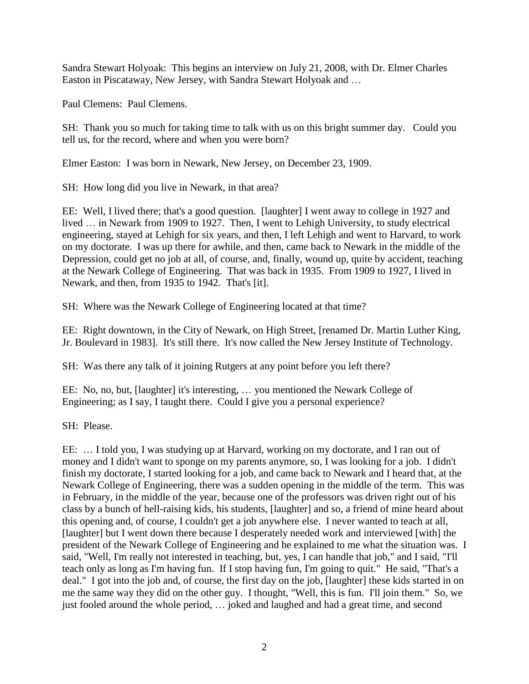Sandra Stewart Holyoak: This begins an interview on July 21, 2008, with Dr. Elmer Charles Easton in Piscataway, New Jersey, with Sandra Stewart Holyoak and …

Paul Clemens: Paul Clemens.

SH: Thank you so much for taking time to talk with us on this bright summer day. Could you tell us, for the record, where and when you were born?

Elmer Easton: I was born in Newark, New Jersey, on December 23, 1909.

SH: How long did you live in Newark, in that area?

EE: Well, I lived there; that's a good question. [laughter] I went away to college in 1927 and lived … in Newark from 1909 to 1927. Then, I went to Lehigh University, to study electrical engineering, stayed at Lehigh for six years, and then, I left Lehigh and went to Harvard, to work on my doctorate. I was up there for awhile, and then, came back to Newark in the middle of the Depression, could get no job at all, of course, and, finally, wound up, quite by accident, teaching at the Newark College of Engineering. That was back in 1935. From 1909 to 1927, I lived in Newark, and then, from 1935 to 1942. That's [it].

SH: Where was the Newark College of Engineering located at that time?

EE: Right downtown, in the City of Newark, on High Street, [renamed Dr. Martin Luther King, Jr. Boulevard in 1983]. It's still there. It's now called the New Jersey Institute of Technology.

SH: Was there any talk of it joining Rutgers at any point before you left there?

EE: No, no, but, [laughter] it's interesting, … you mentioned the Newark College of Engineering; as I say, I taught there. Could I give you a personal experience?

SH: Please.

EE: … I told you, I was studying up at Harvard, working on my doctorate, and I ran out of money and I didn't want to sponge on my parents anymore, so, I was looking for a job. I didn't finish my doctorate, I started looking for a job, and came back to Newark and I heard that, at the Newark College of Engineering, there was a sudden opening in the middle of the term. This was in February, in the middle of the year, because one of the professors was driven right out of his class by a bunch of hell-raising kids, his students, [laughter] and so, a friend of mine heard about this opening and, of course, I couldn't get a job anywhere else. I never wanted to teach at all, [laughter] but I went down there because I desperately needed work and interviewed [with] the president of the Newark College of Engineering and he explained to me what the situation was. I said, "Well, I'm really not interested in teaching, but, yes, I can handle that job," and I said, "I'll teach only as long as I'm having fun. If I stop having fun, I'm going to quit." He said, "That's a deal." I got into the job and, of course, the first day on the job, [laughter] these kids started in on me the same way they did on the other guy. I thought, "Well, this is fun. I'll join them." So, we just fooled around the whole period, … joked and laughed and had a great time, and second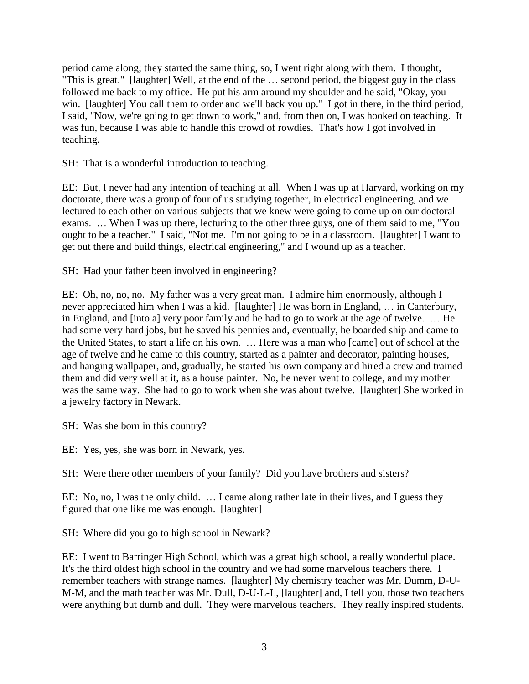period came along; they started the same thing, so, I went right along with them. I thought, "This is great." [laughter] Well, at the end of the … second period, the biggest guy in the class followed me back to my office. He put his arm around my shoulder and he said, "Okay, you win. [laughter] You call them to order and we'll back you up." I got in there, in the third period, I said, "Now, we're going to get down to work," and, from then on, I was hooked on teaching. It was fun, because I was able to handle this crowd of rowdies. That's how I got involved in teaching.

SH: That is a wonderful introduction to teaching.

EE: But, I never had any intention of teaching at all. When I was up at Harvard, working on my doctorate, there was a group of four of us studying together, in electrical engineering, and we lectured to each other on various subjects that we knew were going to come up on our doctoral exams. … When I was up there, lecturing to the other three guys, one of them said to me, "You ought to be a teacher." I said, "Not me. I'm not going to be in a classroom. [laughter] I want to get out there and build things, electrical engineering," and I wound up as a teacher.

SH: Had your father been involved in engineering?

EE: Oh, no, no, no. My father was a very great man. I admire him enormously, although I never appreciated him when I was a kid. [laughter] He was born in England, … in Canterbury, in England, and [into a] very poor family and he had to go to work at the age of twelve. … He had some very hard jobs, but he saved his pennies and, eventually, he boarded ship and came to the United States, to start a life on his own. … Here was a man who [came] out of school at the age of twelve and he came to this country, started as a painter and decorator, painting houses, and hanging wallpaper, and, gradually, he started his own company and hired a crew and trained them and did very well at it, as a house painter. No, he never went to college, and my mother was the same way. She had to go to work when she was about twelve. [laughter] She worked in a jewelry factory in Newark.

SH: Was she born in this country?

EE: Yes, yes, she was born in Newark, yes.

SH: Were there other members of your family? Did you have brothers and sisters?

EE: No, no, I was the only child. … I came along rather late in their lives, and I guess they figured that one like me was enough. [laughter]

SH: Where did you go to high school in Newark?

EE: I went to Barringer High School, which was a great high school, a really wonderful place. It's the third oldest high school in the country and we had some marvelous teachers there. I remember teachers with strange names. [laughter] My chemistry teacher was Mr. Dumm, D-U-M-M, and the math teacher was Mr. Dull, D-U-L-L, [laughter] and, I tell you, those two teachers were anything but dumb and dull. They were marvelous teachers. They really inspired students.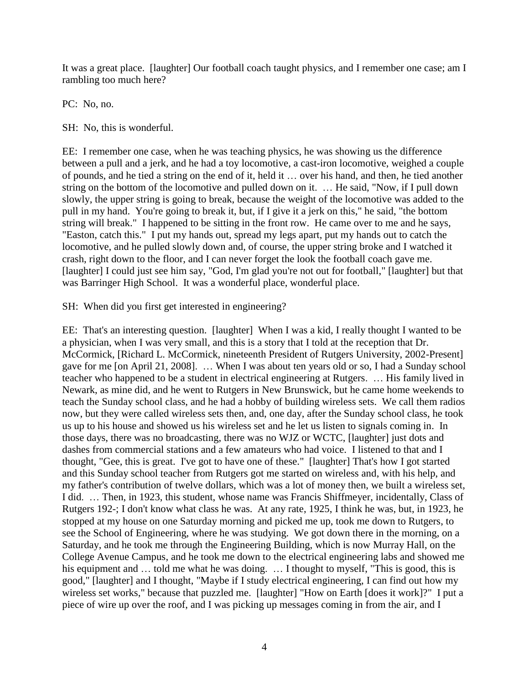It was a great place. [laughter] Our football coach taught physics, and I remember one case; am I rambling too much here?

PC: No, no.

SH: No, this is wonderful.

EE: I remember one case, when he was teaching physics, he was showing us the difference between a pull and a jerk, and he had a toy locomotive, a cast-iron locomotive, weighed a couple of pounds, and he tied a string on the end of it, held it … over his hand, and then, he tied another string on the bottom of the locomotive and pulled down on it. … He said, "Now, if I pull down slowly, the upper string is going to break, because the weight of the locomotive was added to the pull in my hand. You're going to break it, but, if I give it a jerk on this," he said, "the bottom string will break." I happened to be sitting in the front row. He came over to me and he says, "Easton, catch this." I put my hands out, spread my legs apart, put my hands out to catch the locomotive, and he pulled slowly down and, of course, the upper string broke and I watched it crash, right down to the floor, and I can never forget the look the football coach gave me. [laughter] I could just see him say, "God, I'm glad you're not out for football," [laughter] but that was Barringer High School. It was a wonderful place, wonderful place.

SH: When did you first get interested in engineering?

EE: That's an interesting question. [laughter] When I was a kid, I really thought I wanted to be a physician, when I was very small, and this is a story that I told at the reception that Dr. McCormick, [Richard L. McCormick, nineteenth President of Rutgers University, 2002-Present] gave for me [on April 21, 2008]. … When I was about ten years old or so, I had a Sunday school teacher who happened to be a student in electrical engineering at Rutgers. … His family lived in Newark, as mine did, and he went to Rutgers in New Brunswick, but he came home weekends to teach the Sunday school class, and he had a hobby of building wireless sets. We call them radios now, but they were called wireless sets then, and, one day, after the Sunday school class, he took us up to his house and showed us his wireless set and he let us listen to signals coming in. In those days, there was no broadcasting, there was no WJZ or WCTC, [laughter] just dots and dashes from commercial stations and a few amateurs who had voice. I listened to that and I thought, "Gee, this is great. I've got to have one of these." [laughter] That's how I got started and this Sunday school teacher from Rutgers got me started on wireless and, with his help, and my father's contribution of twelve dollars, which was a lot of money then, we built a wireless set, I did. … Then, in 1923, this student, whose name was Francis Shiffmeyer, incidentally, Class of Rutgers 192-; I don't know what class he was. At any rate, 1925, I think he was, but, in 1923, he stopped at my house on one Saturday morning and picked me up, took me down to Rutgers, to see the School of Engineering, where he was studying. We got down there in the morning, on a Saturday, and he took me through the Engineering Building, which is now Murray Hall, on the College Avenue Campus, and he took me down to the electrical engineering labs and showed me his equipment and ... told me what he was doing. ... I thought to myself, "This is good, this is good," [laughter] and I thought, "Maybe if I study electrical engineering, I can find out how my wireless set works," because that puzzled me. [laughter] "How on Earth [does it work]?" I put a piece of wire up over the roof, and I was picking up messages coming in from the air, and I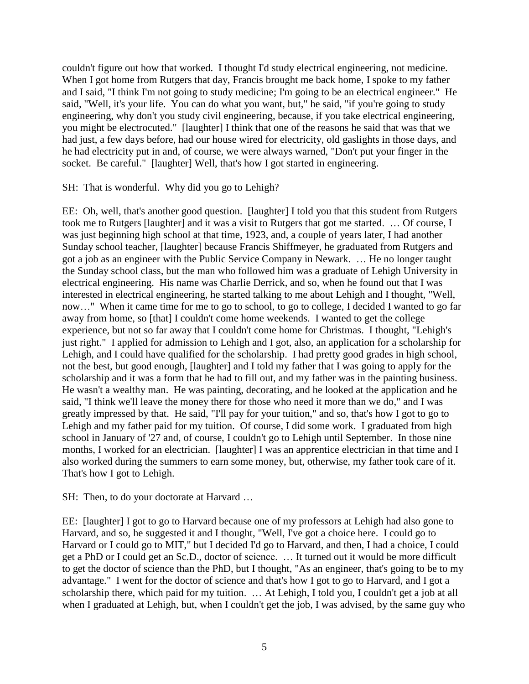couldn't figure out how that worked. I thought I'd study electrical engineering, not medicine. When I got home from Rutgers that day, Francis brought me back home, I spoke to my father and I said, "I think I'm not going to study medicine; I'm going to be an electrical engineer." He said, "Well, it's your life. You can do what you want, but," he said, "if you're going to study engineering, why don't you study civil engineering, because, if you take electrical engineering, you might be electrocuted." [laughter] I think that one of the reasons he said that was that we had just, a few days before, had our house wired for electricity, old gaslights in those days, and he had electricity put in and, of course, we were always warned, "Don't put your finger in the socket. Be careful." [laughter] Well, that's how I got started in engineering.

#### SH: That is wonderful. Why did you go to Lehigh?

EE: Oh, well, that's another good question. [laughter] I told you that this student from Rutgers took me to Rutgers [laughter] and it was a visit to Rutgers that got me started. … Of course, I was just beginning high school at that time, 1923, and, a couple of years later, I had another Sunday school teacher, [laughter] because Francis Shiffmeyer, he graduated from Rutgers and got a job as an engineer with the Public Service Company in Newark. … He no longer taught the Sunday school class, but the man who followed him was a graduate of Lehigh University in electrical engineering. His name was Charlie Derrick, and so, when he found out that I was interested in electrical engineering, he started talking to me about Lehigh and I thought, "Well, now…" When it came time for me to go to school, to go to college, I decided I wanted to go far away from home, so [that] I couldn't come home weekends. I wanted to get the college experience, but not so far away that I couldn't come home for Christmas. I thought, "Lehigh's just right." I applied for admission to Lehigh and I got, also, an application for a scholarship for Lehigh, and I could have qualified for the scholarship. I had pretty good grades in high school, not the best, but good enough, [laughter] and I told my father that I was going to apply for the scholarship and it was a form that he had to fill out, and my father was in the painting business. He wasn't a wealthy man. He was painting, decorating, and he looked at the application and he said, "I think we'll leave the money there for those who need it more than we do," and I was greatly impressed by that. He said, "I'll pay for your tuition," and so, that's how I got to go to Lehigh and my father paid for my tuition. Of course, I did some work. I graduated from high school in January of '27 and, of course, I couldn't go to Lehigh until September. In those nine months, I worked for an electrician. [laughter] I was an apprentice electrician in that time and I also worked during the summers to earn some money, but, otherwise, my father took care of it. That's how I got to Lehigh.

SH: Then, to do your doctorate at Harvard …

EE: [laughter] I got to go to Harvard because one of my professors at Lehigh had also gone to Harvard, and so, he suggested it and I thought, "Well, I've got a choice here. I could go to Harvard or I could go to MIT," but I decided I'd go to Harvard, and then, I had a choice, I could get a PhD or I could get an Sc.D., doctor of science. … It turned out it would be more difficult to get the doctor of science than the PhD, but I thought, "As an engineer, that's going to be to my advantage." I went for the doctor of science and that's how I got to go to Harvard, and I got a scholarship there, which paid for my tuition. … At Lehigh, I told you, I couldn't get a job at all when I graduated at Lehigh, but, when I couldn't get the job, I was advised, by the same guy who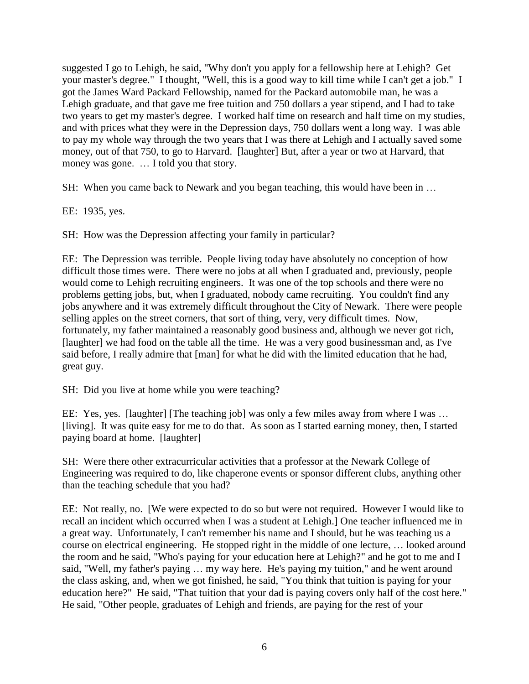suggested I go to Lehigh, he said, "Why don't you apply for a fellowship here at Lehigh? Get your master's degree." I thought, "Well, this is a good way to kill time while I can't get a job." I got the James Ward Packard Fellowship, named for the Packard automobile man, he was a Lehigh graduate, and that gave me free tuition and 750 dollars a year stipend, and I had to take two years to get my master's degree. I worked half time on research and half time on my studies, and with prices what they were in the Depression days, 750 dollars went a long way. I was able to pay my whole way through the two years that I was there at Lehigh and I actually saved some money, out of that 750, to go to Harvard. [laughter] But, after a year or two at Harvard, that money was gone. … I told you that story.

SH: When you came back to Newark and you began teaching, this would have been in …

EE: 1935, yes.

SH: How was the Depression affecting your family in particular?

EE: The Depression was terrible. People living today have absolutely no conception of how difficult those times were. There were no jobs at all when I graduated and, previously, people would come to Lehigh recruiting engineers. It was one of the top schools and there were no problems getting jobs, but, when I graduated, nobody came recruiting. You couldn't find any jobs anywhere and it was extremely difficult throughout the City of Newark. There were people selling apples on the street corners, that sort of thing, very, very difficult times. Now, fortunately, my father maintained a reasonably good business and, although we never got rich, [laughter] we had food on the table all the time. He was a very good businessman and, as I've said before, I really admire that [man] for what he did with the limited education that he had, great guy.

SH: Did you live at home while you were teaching?

EE: Yes, yes. [laughter] [The teaching job] was only a few miles away from where I was ... [living]. It was quite easy for me to do that. As soon as I started earning money, then, I started paying board at home. [laughter]

SH: Were there other extracurricular activities that a professor at the Newark College of Engineering was required to do, like chaperone events or sponsor different clubs, anything other than the teaching schedule that you had?

EE: Not really, no. [We were expected to do so but were not required. However I would like to recall an incident which occurred when I was a student at Lehigh.] One teacher influenced me in a great way. Unfortunately, I can't remember his name and I should, but he was teaching us a course on electrical engineering. He stopped right in the middle of one lecture, … looked around the room and he said, "Who's paying for your education here at Lehigh?" and he got to me and I said, "Well, my father's paying … my way here. He's paying my tuition," and he went around the class asking, and, when we got finished, he said, "You think that tuition is paying for your education here?" He said, "That tuition that your dad is paying covers only half of the cost here." He said, "Other people, graduates of Lehigh and friends, are paying for the rest of your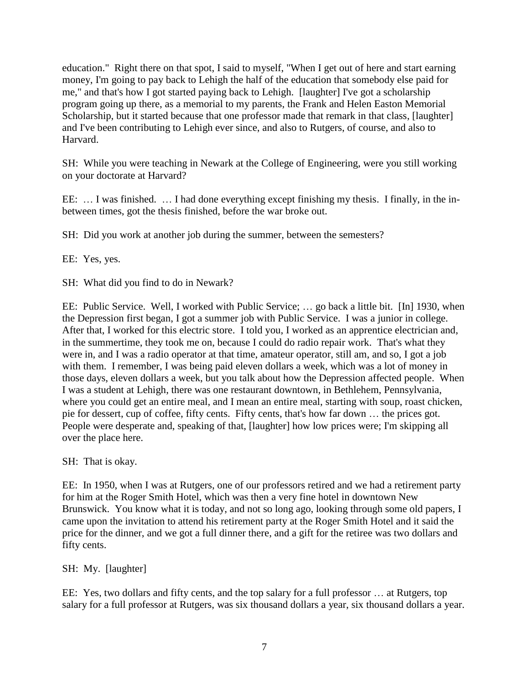education." Right there on that spot, I said to myself, "When I get out of here and start earning money, I'm going to pay back to Lehigh the half of the education that somebody else paid for me," and that's how I got started paying back to Lehigh. [laughter] I've got a scholarship program going up there, as a memorial to my parents, the Frank and Helen Easton Memorial Scholarship, but it started because that one professor made that remark in that class, [laughter] and I've been contributing to Lehigh ever since, and also to Rutgers, of course, and also to Harvard.

SH: While you were teaching in Newark at the College of Engineering, were you still working on your doctorate at Harvard?

EE: … I was finished. … I had done everything except finishing my thesis. I finally, in the inbetween times, got the thesis finished, before the war broke out.

SH: Did you work at another job during the summer, between the semesters?

EE: Yes, yes.

SH: What did you find to do in Newark?

EE: Public Service. Well, I worked with Public Service; … go back a little bit. [In] 1930, when the Depression first began, I got a summer job with Public Service. I was a junior in college. After that, I worked for this electric store. I told you, I worked as an apprentice electrician and, in the summertime, they took me on, because I could do radio repair work. That's what they were in, and I was a radio operator at that time, amateur operator, still am, and so, I got a job with them. I remember, I was being paid eleven dollars a week, which was a lot of money in those days, eleven dollars a week, but you talk about how the Depression affected people. When I was a student at Lehigh, there was one restaurant downtown, in Bethlehem, Pennsylvania, where you could get an entire meal, and I mean an entire meal, starting with soup, roast chicken, pie for dessert, cup of coffee, fifty cents. Fifty cents, that's how far down … the prices got. People were desperate and, speaking of that, [laughter] how low prices were; I'm skipping all over the place here.

SH: That is okay.

EE: In 1950, when I was at Rutgers, one of our professors retired and we had a retirement party for him at the Roger Smith Hotel, which was then a very fine hotel in downtown New Brunswick. You know what it is today, and not so long ago, looking through some old papers, I came upon the invitation to attend his retirement party at the Roger Smith Hotel and it said the price for the dinner, and we got a full dinner there, and a gift for the retiree was two dollars and fifty cents.

SH: My. [laughter]

EE: Yes, two dollars and fifty cents, and the top salary for a full professor … at Rutgers, top salary for a full professor at Rutgers, was six thousand dollars a year, six thousand dollars a year.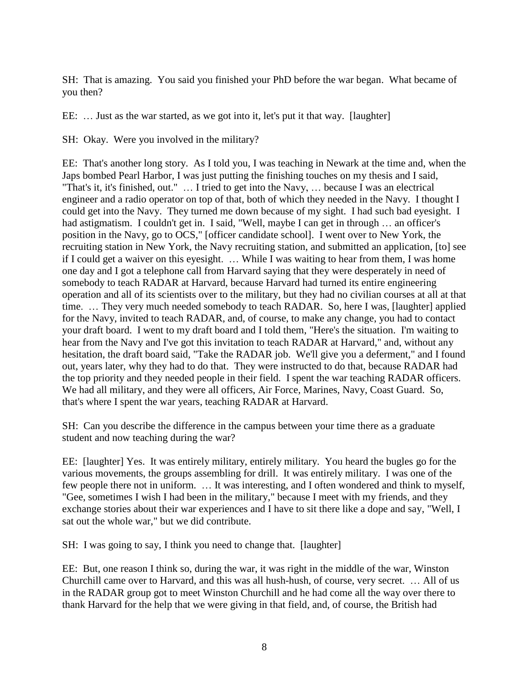SH: That is amazing. You said you finished your PhD before the war began. What became of you then?

EE: … Just as the war started, as we got into it, let's put it that way. [laughter]

SH: Okay. Were you involved in the military?

EE: That's another long story. As I told you, I was teaching in Newark at the time and, when the Japs bombed Pearl Harbor, I was just putting the finishing touches on my thesis and I said, "That's it, it's finished, out." … I tried to get into the Navy, … because I was an electrical engineer and a radio operator on top of that, both of which they needed in the Navy. I thought I could get into the Navy. They turned me down because of my sight. I had such bad eyesight. I had astigmatism. I couldn't get in. I said, "Well, maybe I can get in through ... an officer's position in the Navy, go to OCS," [officer candidate school]. I went over to New York, the recruiting station in New York, the Navy recruiting station, and submitted an application, [to] see if I could get a waiver on this eyesight. … While I was waiting to hear from them, I was home one day and I got a telephone call from Harvard saying that they were desperately in need of somebody to teach RADAR at Harvard, because Harvard had turned its entire engineering operation and all of its scientists over to the military, but they had no civilian courses at all at that time. … They very much needed somebody to teach RADAR. So, here I was, [laughter] applied for the Navy, invited to teach RADAR, and, of course, to make any change, you had to contact your draft board. I went to my draft board and I told them, "Here's the situation. I'm waiting to hear from the Navy and I've got this invitation to teach RADAR at Harvard," and, without any hesitation, the draft board said, "Take the RADAR job. We'll give you a deferment," and I found out, years later, why they had to do that. They were instructed to do that, because RADAR had the top priority and they needed people in their field. I spent the war teaching RADAR officers. We had all military, and they were all officers, Air Force, Marines, Navy, Coast Guard. So, that's where I spent the war years, teaching RADAR at Harvard.

SH: Can you describe the difference in the campus between your time there as a graduate student and now teaching during the war?

EE: [laughter] Yes. It was entirely military, entirely military. You heard the bugles go for the various movements, the groups assembling for drill. It was entirely military. I was one of the few people there not in uniform. … It was interesting, and I often wondered and think to myself, "Gee, sometimes I wish I had been in the military," because I meet with my friends, and they exchange stories about their war experiences and I have to sit there like a dope and say, "Well, I sat out the whole war," but we did contribute.

SH: I was going to say, I think you need to change that. [laughter]

EE: But, one reason I think so, during the war, it was right in the middle of the war, Winston Churchill came over to Harvard, and this was all hush-hush, of course, very secret. … All of us in the RADAR group got to meet Winston Churchill and he had come all the way over there to thank Harvard for the help that we were giving in that field, and, of course, the British had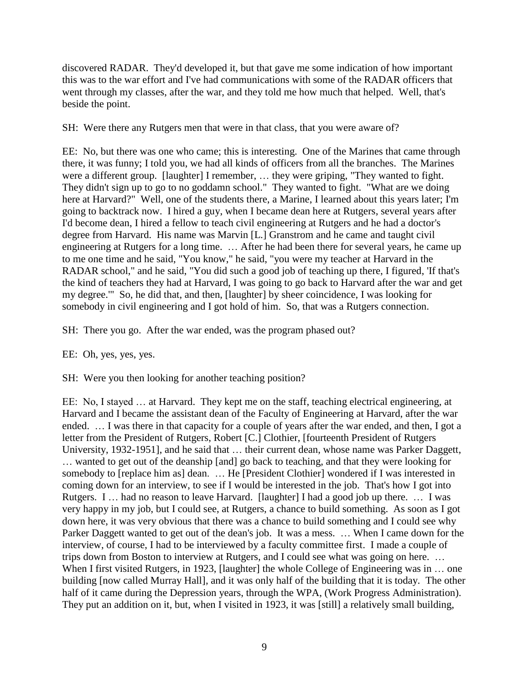discovered RADAR. They'd developed it, but that gave me some indication of how important this was to the war effort and I've had communications with some of the RADAR officers that went through my classes, after the war, and they told me how much that helped. Well, that's beside the point.

SH: Were there any Rutgers men that were in that class, that you were aware of?

EE: No, but there was one who came; this is interesting. One of the Marines that came through there, it was funny; I told you, we had all kinds of officers from all the branches. The Marines were a different group. [laughter] I remember, … they were griping, "They wanted to fight. They didn't sign up to go to no goddamn school." They wanted to fight. "What are we doing here at Harvard?" Well, one of the students there, a Marine, I learned about this years later; I'm going to backtrack now. I hired a guy, when I became dean here at Rutgers, several years after I'd become dean, I hired a fellow to teach civil engineering at Rutgers and he had a doctor's degree from Harvard. His name was Marvin [L.] Granstrom and he came and taught civil engineering at Rutgers for a long time. … After he had been there for several years, he came up to me one time and he said, "You know," he said, "you were my teacher at Harvard in the RADAR school," and he said, "You did such a good job of teaching up there, I figured, 'If that's the kind of teachers they had at Harvard, I was going to go back to Harvard after the war and get my degree.'" So, he did that, and then, [laughter] by sheer coincidence, I was looking for somebody in civil engineering and I got hold of him. So, that was a Rutgers connection.

SH: There you go. After the war ended, was the program phased out?

#### EE: Oh, yes, yes, yes.

SH: Were you then looking for another teaching position?

EE: No, I stayed … at Harvard. They kept me on the staff, teaching electrical engineering, at Harvard and I became the assistant dean of the Faculty of Engineering at Harvard, after the war ended. … I was there in that capacity for a couple of years after the war ended, and then, I got a letter from the President of Rutgers, Robert [C.] Clothier, [fourteenth President of Rutgers University, 1932-1951], and he said that … their current dean, whose name was Parker Daggett, … wanted to get out of the deanship [and] go back to teaching, and that they were looking for somebody to [replace him as] dean. … He [President Clothier] wondered if I was interested in coming down for an interview, to see if I would be interested in the job. That's how I got into Rutgers. I … had no reason to leave Harvard. [laughter] I had a good job up there. … I was very happy in my job, but I could see, at Rutgers, a chance to build something. As soon as I got down here, it was very obvious that there was a chance to build something and I could see why Parker Daggett wanted to get out of the dean's job. It was a mess. … When I came down for the interview, of course, I had to be interviewed by a faculty committee first. I made a couple of trips down from Boston to interview at Rutgers, and I could see what was going on here. … When I first visited Rutgers, in 1923, [laughter] the whole College of Engineering was in ... one building [now called Murray Hall], and it was only half of the building that it is today. The other half of it came during the Depression years, through the WPA, (Work Progress Administration). They put an addition on it, but, when I visited in 1923, it was [still] a relatively small building,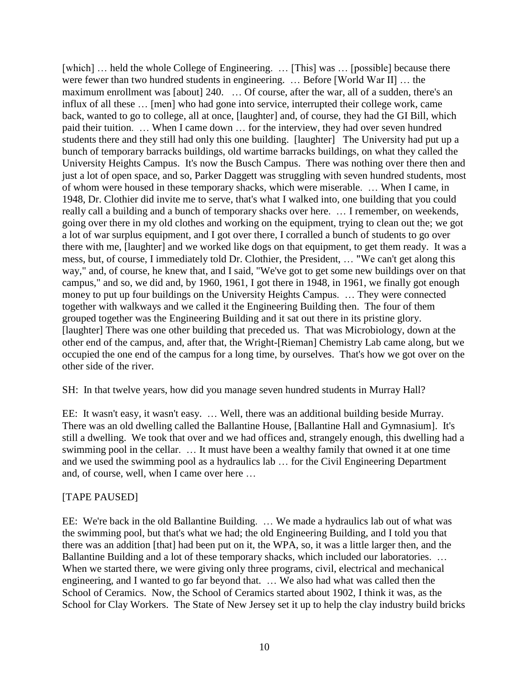[which] ... held the whole College of Engineering. ... [This] was ... [possible] because there were fewer than two hundred students in engineering. … Before [World War II] … the maximum enrollment was [about] 240. … Of course, after the war, all of a sudden, there's an influx of all these … [men] who had gone into service, interrupted their college work, came back, wanted to go to college, all at once, [laughter] and, of course, they had the GI Bill, which paid their tuition. … When I came down … for the interview, they had over seven hundred students there and they still had only this one building. [laughter] The University had put up a bunch of temporary barracks buildings, old wartime barracks buildings, on what they called the University Heights Campus. It's now the Busch Campus. There was nothing over there then and just a lot of open space, and so, Parker Daggett was struggling with seven hundred students, most of whom were housed in these temporary shacks, which were miserable. … When I came, in 1948, Dr. Clothier did invite me to serve, that's what I walked into, one building that you could really call a building and a bunch of temporary shacks over here. … I remember, on weekends, going over there in my old clothes and working on the equipment, trying to clean out the; we got a lot of war surplus equipment, and I got over there, I corralled a bunch of students to go over there with me, [laughter] and we worked like dogs on that equipment, to get them ready. It was a mess, but, of course, I immediately told Dr. Clothier, the President, … "We can't get along this way," and, of course, he knew that, and I said, "We've got to get some new buildings over on that campus," and so, we did and, by 1960, 1961, I got there in 1948, in 1961, we finally got enough money to put up four buildings on the University Heights Campus. … They were connected together with walkways and we called it the Engineering Building then. The four of them grouped together was the Engineering Building and it sat out there in its pristine glory. [laughter] There was one other building that preceded us. That was Microbiology, down at the other end of the campus, and, after that, the Wright-[Rieman] Chemistry Lab came along, but we occupied the one end of the campus for a long time, by ourselves. That's how we got over on the other side of the river.

SH: In that twelve years, how did you manage seven hundred students in Murray Hall?

EE: It wasn't easy, it wasn't easy. … Well, there was an additional building beside Murray. There was an old dwelling called the Ballantine House, [Ballantine Hall and Gymnasium]. It's still a dwelling. We took that over and we had offices and, strangely enough, this dwelling had a swimming pool in the cellar. … It must have been a wealthy family that owned it at one time and we used the swimming pool as a hydraulics lab … for the Civil Engineering Department and, of course, well, when I came over here …

## [TAPE PAUSED]

EE: We're back in the old Ballantine Building. … We made a hydraulics lab out of what was the swimming pool, but that's what we had; the old Engineering Building, and I told you that there was an addition [that] had been put on it, the WPA, so, it was a little larger then, and the Ballantine Building and a lot of these temporary shacks, which included our laboratories. ... When we started there, we were giving only three programs, civil, electrical and mechanical engineering, and I wanted to go far beyond that. … We also had what was called then the School of Ceramics. Now, the School of Ceramics started about 1902, I think it was, as the School for Clay Workers. The State of New Jersey set it up to help the clay industry build bricks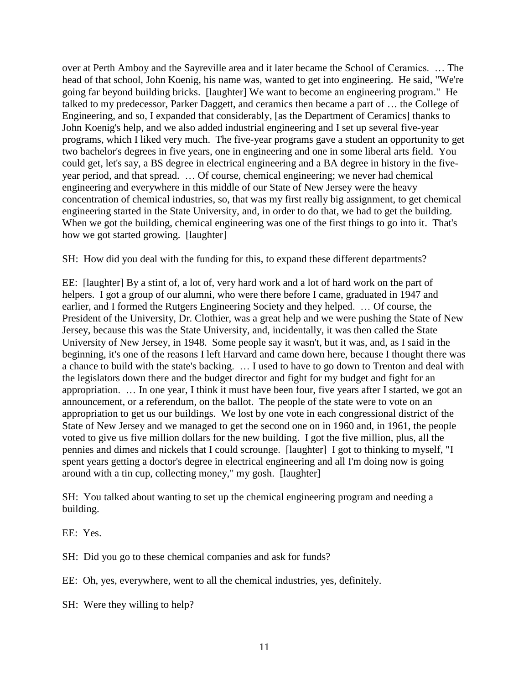over at Perth Amboy and the Sayreville area and it later became the School of Ceramics. … The head of that school, John Koenig, his name was, wanted to get into engineering. He said, "We're going far beyond building bricks. [laughter] We want to become an engineering program." He talked to my predecessor, Parker Daggett, and ceramics then became a part of … the College of Engineering, and so, I expanded that considerably, [as the Department of Ceramics] thanks to John Koenig's help, and we also added industrial engineering and I set up several five-year programs, which I liked very much. The five-year programs gave a student an opportunity to get two bachelor's degrees in five years, one in engineering and one in some liberal arts field. You could get, let's say, a BS degree in electrical engineering and a BA degree in history in the fiveyear period, and that spread. … Of course, chemical engineering; we never had chemical engineering and everywhere in this middle of our State of New Jersey were the heavy concentration of chemical industries, so, that was my first really big assignment, to get chemical engineering started in the State University, and, in order to do that, we had to get the building. When we got the building, chemical engineering was one of the first things to go into it. That's how we got started growing. [laughter]

SH: How did you deal with the funding for this, to expand these different departments?

EE: [laughter] By a stint of, a lot of, very hard work and a lot of hard work on the part of helpers. I got a group of our alumni, who were there before I came, graduated in 1947 and earlier, and I formed the Rutgers Engineering Society and they helped. … Of course, the President of the University, Dr. Clothier, was a great help and we were pushing the State of New Jersey, because this was the State University, and, incidentally, it was then called the State University of New Jersey, in 1948. Some people say it wasn't, but it was, and, as I said in the beginning, it's one of the reasons I left Harvard and came down here, because I thought there was a chance to build with the state's backing. … I used to have to go down to Trenton and deal with the legislators down there and the budget director and fight for my budget and fight for an appropriation. … In one year, I think it must have been four, five years after I started, we got an announcement, or a referendum, on the ballot. The people of the state were to vote on an appropriation to get us our buildings. We lost by one vote in each congressional district of the State of New Jersey and we managed to get the second one on in 1960 and, in 1961, the people voted to give us five million dollars for the new building. I got the five million, plus, all the pennies and dimes and nickels that I could scrounge. [laughter] I got to thinking to myself, "I spent years getting a doctor's degree in electrical engineering and all I'm doing now is going around with a tin cup, collecting money," my gosh. [laughter]

SH: You talked about wanting to set up the chemical engineering program and needing a building.

EE: Yes.

SH: Did you go to these chemical companies and ask for funds?

EE: Oh, yes, everywhere, went to all the chemical industries, yes, definitely.

SH: Were they willing to help?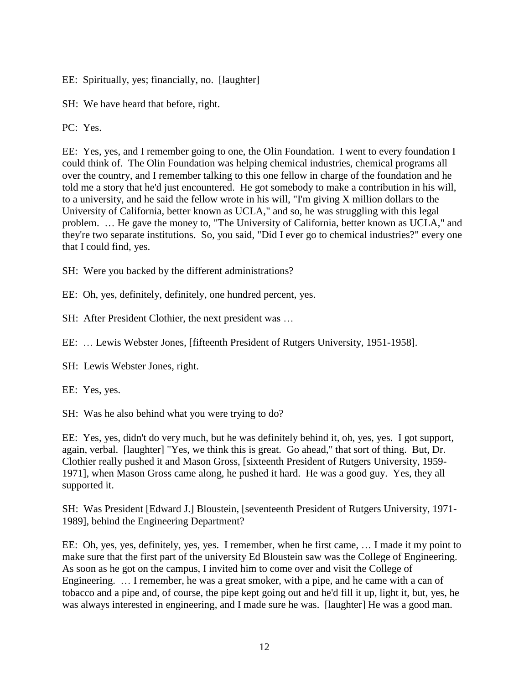EE: Spiritually, yes; financially, no. [laughter]

SH: We have heard that before, right.

PC: Yes.

EE: Yes, yes, and I remember going to one, the Olin Foundation. I went to every foundation I could think of. The Olin Foundation was helping chemical industries, chemical programs all over the country, and I remember talking to this one fellow in charge of the foundation and he told me a story that he'd just encountered. He got somebody to make a contribution in his will, to a university, and he said the fellow wrote in his will, "I'm giving X million dollars to the University of California, better known as UCLA," and so, he was struggling with this legal problem. … He gave the money to, "The University of California, better known as UCLA," and they're two separate institutions. So, you said, "Did I ever go to chemical industries?" every one that I could find, yes.

SH: Were you backed by the different administrations?

EE: Oh, yes, definitely, definitely, one hundred percent, yes.

SH: After President Clothier, the next president was …

EE: … Lewis Webster Jones, [fifteenth President of Rutgers University, 1951-1958].

SH: Lewis Webster Jones, right.

EE: Yes, yes.

SH: Was he also behind what you were trying to do?

EE: Yes, yes, didn't do very much, but he was definitely behind it, oh, yes, yes. I got support, again, verbal. [laughter] "Yes, we think this is great. Go ahead," that sort of thing. But, Dr. Clothier really pushed it and Mason Gross, [sixteenth President of Rutgers University, 1959- 1971], when Mason Gross came along, he pushed it hard. He was a good guy. Yes, they all supported it.

SH: Was President [Edward J.] Bloustein, [seventeenth President of Rutgers University, 1971- 1989], behind the Engineering Department?

EE: Oh, yes, yes, definitely, yes, yes. I remember, when he first came, … I made it my point to make sure that the first part of the university Ed Bloustein saw was the College of Engineering. As soon as he got on the campus, I invited him to come over and visit the College of Engineering. ... I remember, he was a great smoker, with a pipe, and he came with a can of tobacco and a pipe and, of course, the pipe kept going out and he'd fill it up, light it, but, yes, he was always interested in engineering, and I made sure he was. [laughter] He was a good man.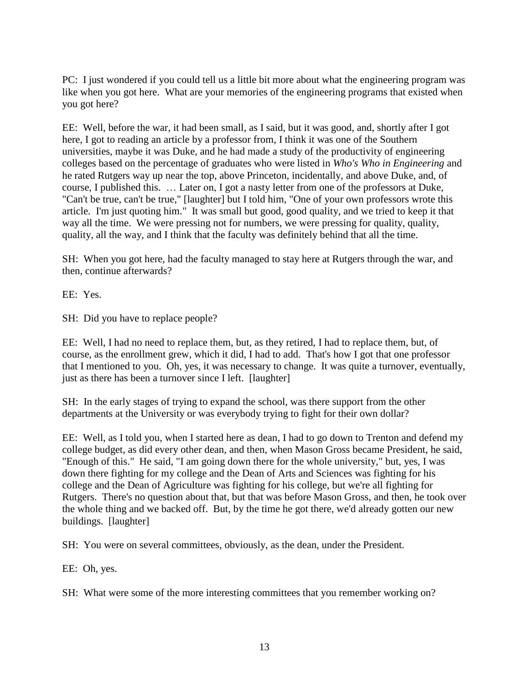PC: I just wondered if you could tell us a little bit more about what the engineering program was like when you got here. What are your memories of the engineering programs that existed when you got here?

EE: Well, before the war, it had been small, as I said, but it was good, and, shortly after I got here, I got to reading an article by a professor from, I think it was one of the Southern universities, maybe it was Duke, and he had made a study of the productivity of engineering colleges based on the percentage of graduates who were listed in *Who's Who in Engineering* and he rated Rutgers way up near the top, above Princeton, incidentally, and above Duke, and, of course, I published this. … Later on, I got a nasty letter from one of the professors at Duke, "Can't be true, can't be true," [laughter] but I told him, "One of your own professors wrote this article. I'm just quoting him." It was small but good, good quality, and we tried to keep it that way all the time. We were pressing not for numbers, we were pressing for quality, quality, quality, all the way, and I think that the faculty was definitely behind that all the time.

SH: When you got here, had the faculty managed to stay here at Rutgers through the war, and then, continue afterwards?

EE: Yes.

SH: Did you have to replace people?

EE: Well, I had no need to replace them, but, as they retired, I had to replace them, but, of course, as the enrollment grew, which it did, I had to add. That's how I got that one professor that I mentioned to you. Oh, yes, it was necessary to change. It was quite a turnover, eventually, just as there has been a turnover since I left. [laughter]

SH: In the early stages of trying to expand the school, was there support from the other departments at the University or was everybody trying to fight for their own dollar?

EE: Well, as I told you, when I started here as dean, I had to go down to Trenton and defend my college budget, as did every other dean, and then, when Mason Gross became President, he said, "Enough of this." He said, "I am going down there for the whole university," but, yes, I was down there fighting for my college and the Dean of Arts and Sciences was fighting for his college and the Dean of Agriculture was fighting for his college, but we're all fighting for Rutgers. There's no question about that, but that was before Mason Gross, and then, he took over the whole thing and we backed off. But, by the time he got there, we'd already gotten our new buildings. [laughter]

SH: You were on several committees, obviously, as the dean, under the President.

EE: Oh, yes.

SH: What were some of the more interesting committees that you remember working on?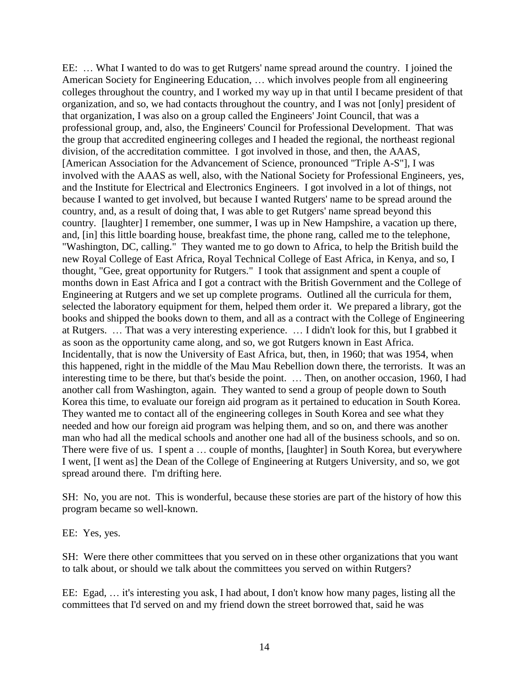EE: … What I wanted to do was to get Rutgers' name spread around the country. I joined the American Society for Engineering Education, … which involves people from all engineering colleges throughout the country, and I worked my way up in that until I became president of that organization, and so, we had contacts throughout the country, and I was not [only] president of that organization, I was also on a group called the Engineers' Joint Council, that was a professional group, and, also, the Engineers' Council for Professional Development. That was the group that accredited engineering colleges and I headed the regional, the northeast regional division, of the accreditation committee. I got involved in those, and then, the AAAS, [American Association for the Advancement of Science, pronounced "Triple A-S"], I was involved with the AAAS as well, also, with the National Society for Professional Engineers, yes, and the Institute for Electrical and Electronics Engineers. I got involved in a lot of things, not because I wanted to get involved, but because I wanted Rutgers' name to be spread around the country, and, as a result of doing that, I was able to get Rutgers' name spread beyond this country. [laughter] I remember, one summer, I was up in New Hampshire, a vacation up there, and, [in] this little boarding house, breakfast time, the phone rang, called me to the telephone, "Washington, DC, calling." They wanted me to go down to Africa, to help the British build the new Royal College of East Africa, Royal Technical College of East Africa, in Kenya, and so, I thought, "Gee, great opportunity for Rutgers." I took that assignment and spent a couple of months down in East Africa and I got a contract with the British Government and the College of Engineering at Rutgers and we set up complete programs. Outlined all the curricula for them, selected the laboratory equipment for them, helped them order it. We prepared a library, got the books and shipped the books down to them, and all as a contract with the College of Engineering at Rutgers. … That was a very interesting experience. … I didn't look for this, but I grabbed it as soon as the opportunity came along, and so, we got Rutgers known in East Africa. Incidentally, that is now the University of East Africa, but, then, in 1960; that was 1954, when this happened, right in the middle of the Mau Mau Rebellion down there, the terrorists. It was an interesting time to be there, but that's beside the point. … Then, on another occasion, 1960, I had another call from Washington, again. They wanted to send a group of people down to South Korea this time, to evaluate our foreign aid program as it pertained to education in South Korea. They wanted me to contact all of the engineering colleges in South Korea and see what they needed and how our foreign aid program was helping them, and so on, and there was another man who had all the medical schools and another one had all of the business schools, and so on. There were five of us. I spent a … couple of months, [laughter] in South Korea, but everywhere I went, [I went as] the Dean of the College of Engineering at Rutgers University, and so, we got spread around there. I'm drifting here.

SH: No, you are not. This is wonderful, because these stories are part of the history of how this program became so well-known.

EE: Yes, yes.

SH: Were there other committees that you served on in these other organizations that you want to talk about, or should we talk about the committees you served on within Rutgers?

EE: Egad, … it's interesting you ask, I had about, I don't know how many pages, listing all the committees that I'd served on and my friend down the street borrowed that, said he was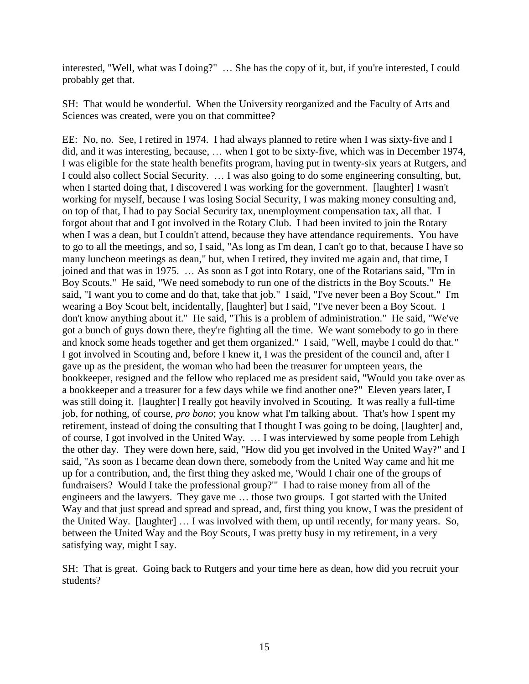interested, "Well, what was I doing?" ... She has the copy of it, but, if you're interested, I could probably get that.

SH: That would be wonderful. When the University reorganized and the Faculty of Arts and Sciences was created, were you on that committee?

EE: No, no. See, I retired in 1974. I had always planned to retire when I was sixty-five and I did, and it was interesting, because, … when I got to be sixty-five, which was in December 1974, I was eligible for the state health benefits program, having put in twenty-six years at Rutgers, and I could also collect Social Security. … I was also going to do some engineering consulting, but, when I started doing that, I discovered I was working for the government. [laughter] I wasn't working for myself, because I was losing Social Security, I was making money consulting and, on top of that, I had to pay Social Security tax, unemployment compensation tax, all that. I forgot about that and I got involved in the Rotary Club. I had been invited to join the Rotary when I was a dean, but I couldn't attend, because they have attendance requirements. You have to go to all the meetings, and so, I said, "As long as I'm dean, I can't go to that, because I have so many luncheon meetings as dean," but, when I retired, they invited me again and, that time, I joined and that was in 1975. … As soon as I got into Rotary, one of the Rotarians said, "I'm in Boy Scouts." He said, "We need somebody to run one of the districts in the Boy Scouts." He said, "I want you to come and do that, take that job." I said, "I've never been a Boy Scout." I'm wearing a Boy Scout belt, incidentally, [laughter] but I said, "I've never been a Boy Scout. I don't know anything about it." He said, "This is a problem of administration." He said, "We've got a bunch of guys down there, they're fighting all the time. We want somebody to go in there and knock some heads together and get them organized." I said, "Well, maybe I could do that." I got involved in Scouting and, before I knew it, I was the president of the council and, after I gave up as the president, the woman who had been the treasurer for umpteen years, the bookkeeper, resigned and the fellow who replaced me as president said, "Would you take over as a bookkeeper and a treasurer for a few days while we find another one?" Eleven years later, I was still doing it. [laughter] I really got heavily involved in Scouting. It was really a full-time job, for nothing, of course, *pro bono*; you know what I'm talking about. That's how I spent my retirement, instead of doing the consulting that I thought I was going to be doing, [laughter] and, of course, I got involved in the United Way. … I was interviewed by some people from Lehigh the other day. They were down here, said, "How did you get involved in the United Way?" and I said, "As soon as I became dean down there, somebody from the United Way came and hit me up for a contribution, and, the first thing they asked me, 'Would I chair one of the groups of fundraisers? Would I take the professional group?'" I had to raise money from all of the engineers and the lawyers. They gave me … those two groups. I got started with the United Way and that just spread and spread and spread, and, first thing you know, I was the president of the United Way. [laughter] … I was involved with them, up until recently, for many years. So, between the United Way and the Boy Scouts, I was pretty busy in my retirement, in a very satisfying way, might I say.

SH: That is great. Going back to Rutgers and your time here as dean, how did you recruit your students?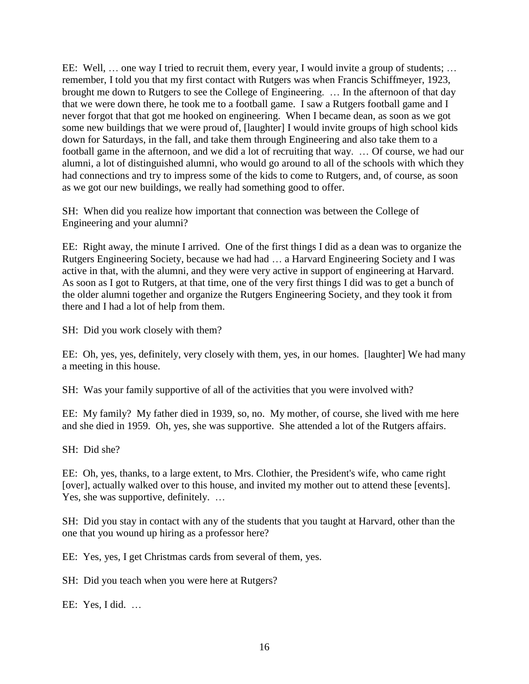EE: Well, … one way I tried to recruit them, every year, I would invite a group of students; … remember, I told you that my first contact with Rutgers was when Francis Schiffmeyer, 1923, brought me down to Rutgers to see the College of Engineering. … In the afternoon of that day that we were down there, he took me to a football game. I saw a Rutgers football game and I never forgot that that got me hooked on engineering. When I became dean, as soon as we got some new buildings that we were proud of, [laughter] I would invite groups of high school kids down for Saturdays, in the fall, and take them through Engineering and also take them to a football game in the afternoon, and we did a lot of recruiting that way. … Of course, we had our alumni, a lot of distinguished alumni, who would go around to all of the schools with which they had connections and try to impress some of the kids to come to Rutgers, and, of course, as soon as we got our new buildings, we really had something good to offer.

SH: When did you realize how important that connection was between the College of Engineering and your alumni?

EE: Right away, the minute I arrived. One of the first things I did as a dean was to organize the Rutgers Engineering Society, because we had had … a Harvard Engineering Society and I was active in that, with the alumni, and they were very active in support of engineering at Harvard. As soon as I got to Rutgers, at that time, one of the very first things I did was to get a bunch of the older alumni together and organize the Rutgers Engineering Society, and they took it from there and I had a lot of help from them.

SH: Did you work closely with them?

EE: Oh, yes, yes, definitely, very closely with them, yes, in our homes. [laughter] We had many a meeting in this house.

SH: Was your family supportive of all of the activities that you were involved with?

EE: My family? My father died in 1939, so, no. My mother, of course, she lived with me here and she died in 1959. Oh, yes, she was supportive. She attended a lot of the Rutgers affairs.

SH: Did she?

EE: Oh, yes, thanks, to a large extent, to Mrs. Clothier, the President's wife, who came right [over], actually walked over to this house, and invited my mother out to attend these [events]. Yes, she was supportive, definitely. ...

SH: Did you stay in contact with any of the students that you taught at Harvard, other than the one that you wound up hiring as a professor here?

EE: Yes, yes, I get Christmas cards from several of them, yes.

SH: Did you teach when you were here at Rutgers?

EE: Yes, I did. …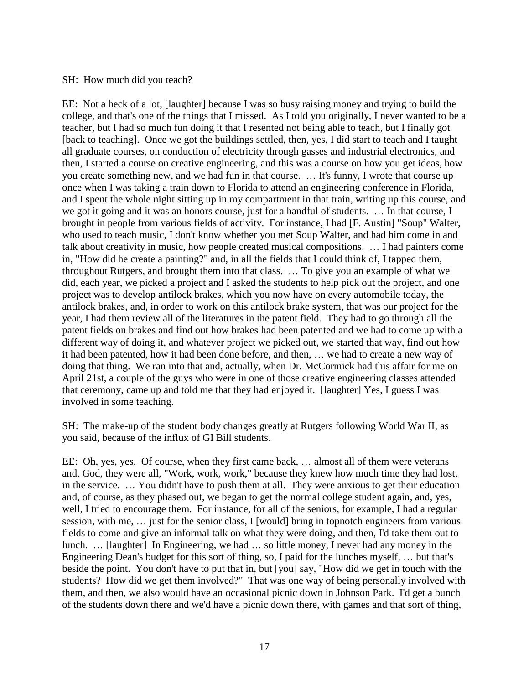#### SH: How much did you teach?

EE: Not a heck of a lot, [laughter] because I was so busy raising money and trying to build the college, and that's one of the things that I missed. As I told you originally, I never wanted to be a teacher, but I had so much fun doing it that I resented not being able to teach, but I finally got [back to teaching]. Once we got the buildings settled, then, yes, I did start to teach and I taught all graduate courses, on conduction of electricity through gasses and industrial electronics, and then, I started a course on creative engineering, and this was a course on how you get ideas, how you create something new, and we had fun in that course. … It's funny, I wrote that course up once when I was taking a train down to Florida to attend an engineering conference in Florida, and I spent the whole night sitting up in my compartment in that train, writing up this course, and we got it going and it was an honors course, just for a handful of students. … In that course, I brought in people from various fields of activity. For instance, I had [F. Austin] "Soup" Walter, who used to teach music, I don't know whether you met Soup Walter, and had him come in and talk about creativity in music, how people created musical compositions. … I had painters come in, "How did he create a painting?" and, in all the fields that I could think of, I tapped them, throughout Rutgers, and brought them into that class. … To give you an example of what we did, each year, we picked a project and I asked the students to help pick out the project, and one project was to develop antilock brakes, which you now have on every automobile today, the antilock brakes, and, in order to work on this antilock brake system, that was our project for the year, I had them review all of the literatures in the patent field. They had to go through all the patent fields on brakes and find out how brakes had been patented and we had to come up with a different way of doing it, and whatever project we picked out, we started that way, find out how it had been patented, how it had been done before, and then, … we had to create a new way of doing that thing. We ran into that and, actually, when Dr. McCormick had this affair for me on April 21st, a couple of the guys who were in one of those creative engineering classes attended that ceremony, came up and told me that they had enjoyed it. [laughter] Yes, I guess I was involved in some teaching.

SH: The make-up of the student body changes greatly at Rutgers following World War II, as you said, because of the influx of GI Bill students.

EE: Oh, yes, yes. Of course, when they first came back, … almost all of them were veterans and, God, they were all, "Work, work, work," because they knew how much time they had lost, in the service. … You didn't have to push them at all. They were anxious to get their education and, of course, as they phased out, we began to get the normal college student again, and, yes, well, I tried to encourage them. For instance, for all of the seniors, for example, I had a regular session, with me, … just for the senior class, I [would] bring in topnotch engineers from various fields to come and give an informal talk on what they were doing, and then, I'd take them out to lunch. … [laughter] In Engineering, we had … so little money, I never had any money in the Engineering Dean's budget for this sort of thing, so, I paid for the lunches myself, … but that's beside the point. You don't have to put that in, but [you] say, "How did we get in touch with the students? How did we get them involved?" That was one way of being personally involved with them, and then, we also would have an occasional picnic down in Johnson Park. I'd get a bunch of the students down there and we'd have a picnic down there, with games and that sort of thing,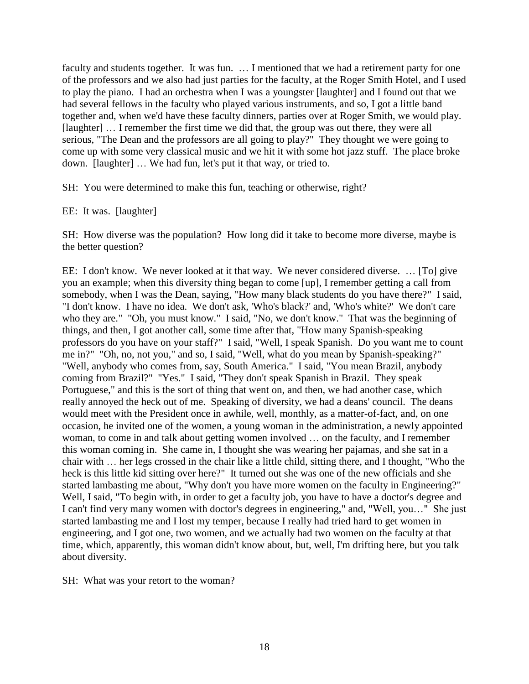faculty and students together. It was fun. … I mentioned that we had a retirement party for one of the professors and we also had just parties for the faculty, at the Roger Smith Hotel, and I used to play the piano. I had an orchestra when I was a youngster [laughter] and I found out that we had several fellows in the faculty who played various instruments, and so, I got a little band together and, when we'd have these faculty dinners, parties over at Roger Smith, we would play. [laughter] … I remember the first time we did that, the group was out there, they were all serious, "The Dean and the professors are all going to play?" They thought we were going to come up with some very classical music and we hit it with some hot jazz stuff. The place broke down. [laughter] … We had fun, let's put it that way, or tried to.

SH: You were determined to make this fun, teaching or otherwise, right?

#### EE: It was. [laughter]

SH: How diverse was the population? How long did it take to become more diverse, maybe is the better question?

EE: I don't know. We never looked at it that way. We never considered diverse. … [To] give you an example; when this diversity thing began to come [up], I remember getting a call from somebody, when I was the Dean, saying, "How many black students do you have there?" I said, "I don't know. I have no idea. We don't ask, 'Who's black?' and, 'Who's white?' We don't care who they are." "Oh, you must know." I said, "No, we don't know." That was the beginning of things, and then, I got another call, some time after that, "How many Spanish-speaking professors do you have on your staff?" I said, "Well, I speak Spanish. Do you want me to count me in?" "Oh, no, not you," and so, I said, "Well, what do you mean by Spanish-speaking?" "Well, anybody who comes from, say, South America." I said, "You mean Brazil, anybody coming from Brazil?" "Yes." I said, "They don't speak Spanish in Brazil. They speak Portuguese," and this is the sort of thing that went on, and then, we had another case, which really annoyed the heck out of me. Speaking of diversity, we had a deans' council. The deans would meet with the President once in awhile, well, monthly, as a matter-of-fact, and, on one occasion, he invited one of the women, a young woman in the administration, a newly appointed woman, to come in and talk about getting women involved … on the faculty, and I remember this woman coming in. She came in, I thought she was wearing her pajamas, and she sat in a chair with … her legs crossed in the chair like a little child, sitting there, and I thought, "Who the heck is this little kid sitting over here?" It turned out she was one of the new officials and she started lambasting me about, "Why don't you have more women on the faculty in Engineering?" Well, I said, "To begin with, in order to get a faculty job, you have to have a doctor's degree and I can't find very many women with doctor's degrees in engineering," and, "Well, you…" She just started lambasting me and I lost my temper, because I really had tried hard to get women in engineering, and I got one, two women, and we actually had two women on the faculty at that time, which, apparently, this woman didn't know about, but, well, I'm drifting here, but you talk about diversity.

SH: What was your retort to the woman?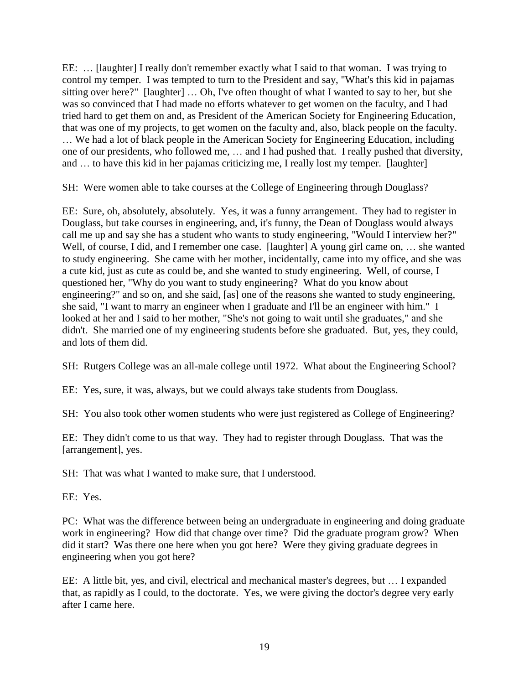EE: … [laughter] I really don't remember exactly what I said to that woman. I was trying to control my temper. I was tempted to turn to the President and say, "What's this kid in pajamas sitting over here?" [laughter] ... Oh, I've often thought of what I wanted to say to her, but she was so convinced that I had made no efforts whatever to get women on the faculty, and I had tried hard to get them on and, as President of the American Society for Engineering Education, that was one of my projects, to get women on the faculty and, also, black people on the faculty.

… We had a lot of black people in the American Society for Engineering Education, including one of our presidents, who followed me, … and I had pushed that. I really pushed that diversity, and … to have this kid in her pajamas criticizing me, I really lost my temper. [laughter]

SH: Were women able to take courses at the College of Engineering through Douglass?

EE: Sure, oh, absolutely, absolutely. Yes, it was a funny arrangement. They had to register in Douglass, but take courses in engineering, and, it's funny, the Dean of Douglass would always call me up and say she has a student who wants to study engineering, "Would I interview her?" Well, of course, I did, and I remember one case. [laughter] A young girl came on, ... she wanted to study engineering. She came with her mother, incidentally, came into my office, and she was a cute kid, just as cute as could be, and she wanted to study engineering. Well, of course, I questioned her, "Why do you want to study engineering? What do you know about engineering?" and so on, and she said, [as] one of the reasons she wanted to study engineering, she said, "I want to marry an engineer when I graduate and I'll be an engineer with him." I looked at her and I said to her mother, "She's not going to wait until she graduates," and she didn't. She married one of my engineering students before she graduated. But, yes, they could, and lots of them did.

SH: Rutgers College was an all-male college until 1972. What about the Engineering School?

EE: Yes, sure, it was, always, but we could always take students from Douglass.

SH: You also took other women students who were just registered as College of Engineering?

EE: They didn't come to us that way. They had to register through Douglass. That was the [arrangement], yes.

SH: That was what I wanted to make sure, that I understood.

EE: Yes.

PC: What was the difference between being an undergraduate in engineering and doing graduate work in engineering? How did that change over time? Did the graduate program grow? When did it start? Was there one here when you got here? Were they giving graduate degrees in engineering when you got here?

EE: A little bit, yes, and civil, electrical and mechanical master's degrees, but … I expanded that, as rapidly as I could, to the doctorate. Yes, we were giving the doctor's degree very early after I came here.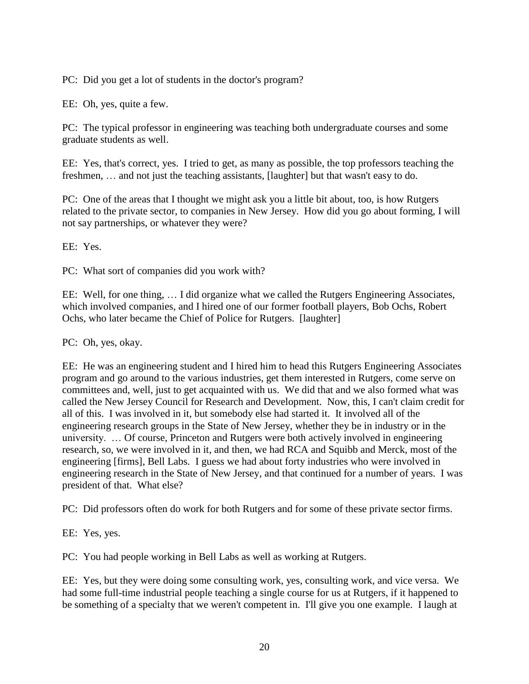PC: Did you get a lot of students in the doctor's program?

EE: Oh, yes, quite a few.

PC: The typical professor in engineering was teaching both undergraduate courses and some graduate students as well.

EE: Yes, that's correct, yes. I tried to get, as many as possible, the top professors teaching the freshmen, … and not just the teaching assistants, [laughter] but that wasn't easy to do.

PC: One of the areas that I thought we might ask you a little bit about, too, is how Rutgers related to the private sector, to companies in New Jersey. How did you go about forming, I will not say partnerships, or whatever they were?

EE: Yes.

PC: What sort of companies did you work with?

EE: Well, for one thing, … I did organize what we called the Rutgers Engineering Associates, which involved companies, and I hired one of our former football players, Bob Ochs, Robert Ochs, who later became the Chief of Police for Rutgers. [laughter]

PC: Oh, yes, okay.

EE: He was an engineering student and I hired him to head this Rutgers Engineering Associates program and go around to the various industries, get them interested in Rutgers, come serve on committees and, well, just to get acquainted with us. We did that and we also formed what was called the New Jersey Council for Research and Development. Now, this, I can't claim credit for all of this. I was involved in it, but somebody else had started it. It involved all of the engineering research groups in the State of New Jersey, whether they be in industry or in the university. … Of course, Princeton and Rutgers were both actively involved in engineering research, so, we were involved in it, and then, we had RCA and Squibb and Merck, most of the engineering [firms], Bell Labs. I guess we had about forty industries who were involved in engineering research in the State of New Jersey, and that continued for a number of years. I was president of that. What else?

PC: Did professors often do work for both Rutgers and for some of these private sector firms.

EE: Yes, yes.

PC: You had people working in Bell Labs as well as working at Rutgers.

EE: Yes, but they were doing some consulting work, yes, consulting work, and vice versa. We had some full-time industrial people teaching a single course for us at Rutgers, if it happened to be something of a specialty that we weren't competent in. I'll give you one example. I laugh at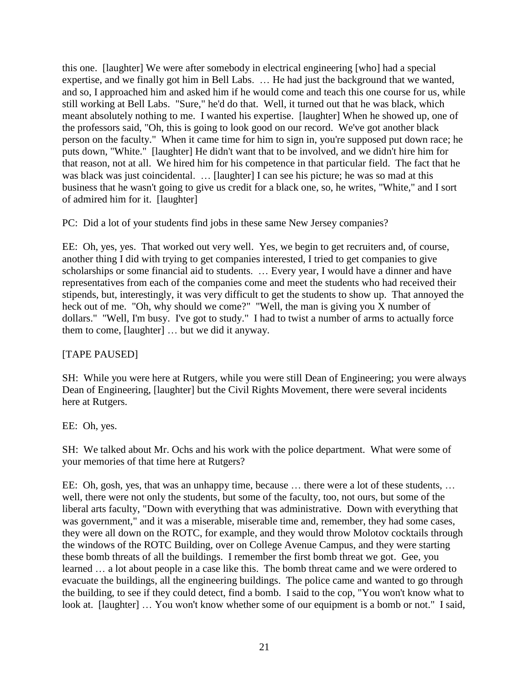this one. [laughter] We were after somebody in electrical engineering [who] had a special expertise, and we finally got him in Bell Labs. … He had just the background that we wanted, and so, I approached him and asked him if he would come and teach this one course for us, while still working at Bell Labs. "Sure," he'd do that. Well, it turned out that he was black, which meant absolutely nothing to me. I wanted his expertise. [laughter] When he showed up, one of the professors said, "Oh, this is going to look good on our record. We've got another black person on the faculty." When it came time for him to sign in, you're supposed put down race; he puts down, "White." [laughter] He didn't want that to be involved, and we didn't hire him for that reason, not at all. We hired him for his competence in that particular field. The fact that he was black was just coincidental. … [laughter] I can see his picture; he was so mad at this business that he wasn't going to give us credit for a black one, so, he writes, "White," and I sort of admired him for it. [laughter]

PC: Did a lot of your students find jobs in these same New Jersey companies?

EE: Oh, yes, yes. That worked out very well. Yes, we begin to get recruiters and, of course, another thing I did with trying to get companies interested, I tried to get companies to give scholarships or some financial aid to students. … Every year, I would have a dinner and have representatives from each of the companies come and meet the students who had received their stipends, but, interestingly, it was very difficult to get the students to show up. That annoyed the heck out of me. "Oh, why should we come?" "Well, the man is giving you  $\bar{X}$  number of dollars." "Well, I'm busy. I've got to study." I had to twist a number of arms to actually force them to come, [laughter] … but we did it anyway.

# [TAPE PAUSED]

SH: While you were here at Rutgers, while you were still Dean of Engineering; you were always Dean of Engineering, [laughter] but the Civil Rights Movement, there were several incidents here at Rutgers.

## EE: Oh, yes.

SH: We talked about Mr. Ochs and his work with the police department. What were some of your memories of that time here at Rutgers?

EE: Oh, gosh, yes, that was an unhappy time, because … there were a lot of these students, … well, there were not only the students, but some of the faculty, too, not ours, but some of the liberal arts faculty, "Down with everything that was administrative. Down with everything that was government," and it was a miserable, miserable time and, remember, they had some cases, they were all down on the ROTC, for example, and they would throw Molotov cocktails through the windows of the ROTC Building, over on College Avenue Campus, and they were starting these bomb threats of all the buildings. I remember the first bomb threat we got. Gee, you learned … a lot about people in a case like this. The bomb threat came and we were ordered to evacuate the buildings, all the engineering buildings. The police came and wanted to go through the building, to see if they could detect, find a bomb. I said to the cop, "You won't know what to look at. [laughter] ... You won't know whether some of our equipment is a bomb or not." I said,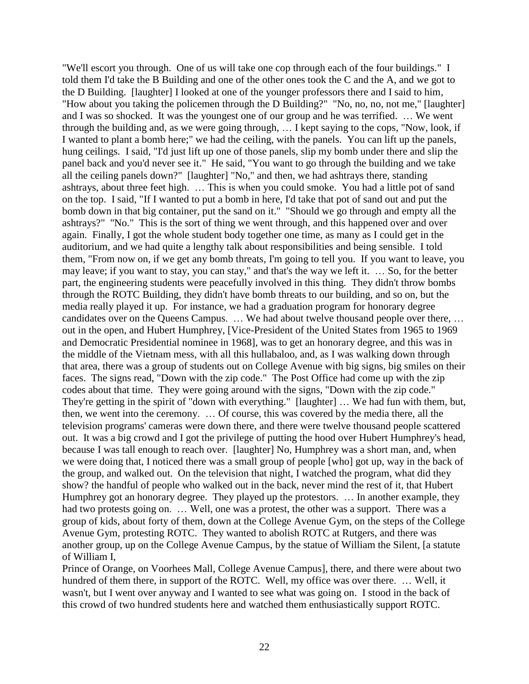"We'll escort you through. One of us will take one cop through each of the four buildings." I told them I'd take the B Building and one of the other ones took the C and the A, and we got to the D Building. [laughter] I looked at one of the younger professors there and I said to him, "How about you taking the policemen through the D Building?" "No, no, no, not me," [laughter] and I was so shocked. It was the youngest one of our group and he was terrified. … We went through the building and, as we were going through, … I kept saying to the cops, "Now, look, if I wanted to plant a bomb here;" we had the ceiling, with the panels. You can lift up the panels, hung ceilings. I said, "I'd just lift up one of those panels, slip my bomb under there and slip the panel back and you'd never see it." He said, "You want to go through the building and we take all the ceiling panels down?" [laughter] "No," and then, we had ashtrays there, standing ashtrays, about three feet high. … This is when you could smoke. You had a little pot of sand on the top. I said, "If I wanted to put a bomb in here, I'd take that pot of sand out and put the bomb down in that big container, put the sand on it." "Should we go through and empty all the ashtrays?" "No." This is the sort of thing we went through, and this happened over and over again. Finally, I got the whole student body together one time, as many as I could get in the auditorium, and we had quite a lengthy talk about responsibilities and being sensible. I told them, "From now on, if we get any bomb threats, I'm going to tell you. If you want to leave, you may leave; if you want to stay, you can stay," and that's the way we left it. … So, for the better part, the engineering students were peacefully involved in this thing. They didn't throw bombs through the ROTC Building, they didn't have bomb threats to our building, and so on, but the media really played it up. For instance, we had a graduation program for honorary degree candidates over on the Queens Campus. … We had about twelve thousand people over there, … out in the open, and Hubert Humphrey, [Vice-President of the United States from 1965 to 1969 and Democratic Presidential nominee in 1968], was to get an honorary degree, and this was in the middle of the Vietnam mess, with all this hullabaloo, and, as I was walking down through that area, there was a group of students out on College Avenue with big signs, big smiles on their faces. The signs read, "Down with the zip code." The Post Office had come up with the zip codes about that time. They were going around with the signs, "Down with the zip code." They're getting in the spirit of "down with everything." [laughter] … We had fun with them, but, then, we went into the ceremony. … Of course, this was covered by the media there, all the television programs' cameras were down there, and there were twelve thousand people scattered out. It was a big crowd and I got the privilege of putting the hood over Hubert Humphrey's head, because I was tall enough to reach over. [laughter] No, Humphrey was a short man, and, when we were doing that, I noticed there was a small group of people [who] got up, way in the back of the group, and walked out. On the television that night, I watched the program, what did they show? the handful of people who walked out in the back, never mind the rest of it, that Hubert Humphrey got an honorary degree. They played up the protestors. … In another example, they had two protests going on. ... Well, one was a protest, the other was a support. There was a group of kids, about forty of them, down at the College Avenue Gym, on the steps of the College Avenue Gym, protesting ROTC. They wanted to abolish ROTC at Rutgers, and there was another group, up on the College Avenue Campus, by the statue of William the Silent, [a statute of William I,

Prince of Orange, on Voorhees Mall, College Avenue Campus], there, and there were about two hundred of them there, in support of the ROTC. Well, my office was over there. … Well, it wasn't, but I went over anyway and I wanted to see what was going on. I stood in the back of this crowd of two hundred students here and watched them enthusiastically support ROTC.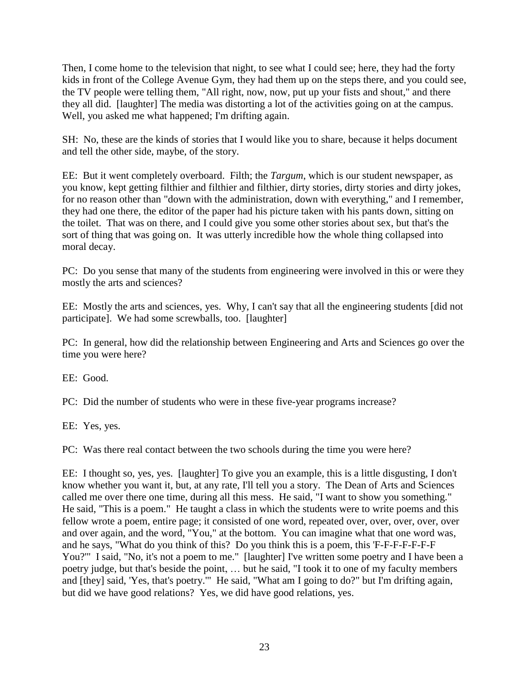Then, I come home to the television that night, to see what I could see; here, they had the forty kids in front of the College Avenue Gym, they had them up on the steps there, and you could see, the TV people were telling them, "All right, now, now, put up your fists and shout," and there they all did. [laughter] The media was distorting a lot of the activities going on at the campus. Well, you asked me what happened; I'm drifting again.

SH: No, these are the kinds of stories that I would like you to share, because it helps document and tell the other side, maybe, of the story.

EE: But it went completely overboard. Filth; the *Targum*, which is our student newspaper, as you know, kept getting filthier and filthier and filthier, dirty stories, dirty stories and dirty jokes, for no reason other than "down with the administration, down with everything," and I remember, they had one there, the editor of the paper had his picture taken with his pants down, sitting on the toilet. That was on there, and I could give you some other stories about sex, but that's the sort of thing that was going on. It was utterly incredible how the whole thing collapsed into moral decay.

PC: Do you sense that many of the students from engineering were involved in this or were they mostly the arts and sciences?

EE: Mostly the arts and sciences, yes. Why, I can't say that all the engineering students [did not participate]. We had some screwballs, too. [laughter]

PC: In general, how did the relationship between Engineering and Arts and Sciences go over the time you were here?

EE: Good.

PC: Did the number of students who were in these five-year programs increase?

EE: Yes, yes.

PC: Was there real contact between the two schools during the time you were here?

EE: I thought so, yes, yes. [laughter] To give you an example, this is a little disgusting, I don't know whether you want it, but, at any rate, I'll tell you a story. The Dean of Arts and Sciences called me over there one time, during all this mess. He said, "I want to show you something." He said, "This is a poem." He taught a class in which the students were to write poems and this fellow wrote a poem, entire page; it consisted of one word, repeated over, over, over, over, over and over again, and the word, "You," at the bottom. You can imagine what that one word was, and he says, "What do you think of this? Do you think this is a poem, this 'F-F-F-F-F-F-F You?'" I said, "No, it's not a poem to me." [laughter] I've written some poetry and I have been a poetry judge, but that's beside the point, … but he said, "I took it to one of my faculty members and [they] said, 'Yes, that's poetry.'" He said, "What am I going to do?" but I'm drifting again, but did we have good relations? Yes, we did have good relations, yes.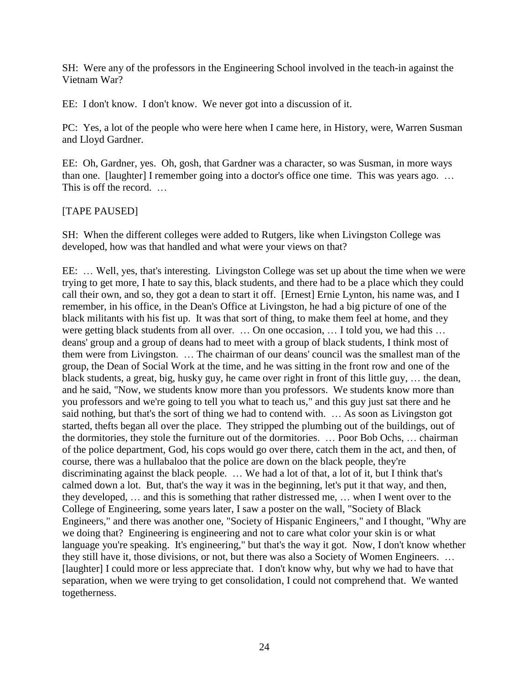SH: Were any of the professors in the Engineering School involved in the teach-in against the Vietnam War?

EE: I don't know. I don't know. We never got into a discussion of it.

PC: Yes, a lot of the people who were here when I came here, in History, were, Warren Susman and Lloyd Gardner.

EE: Oh, Gardner, yes. Oh, gosh, that Gardner was a character, so was Susman, in more ways than one. [laughter] I remember going into a doctor's office one time. This was years ago. … This is off the record. …

### [TAPE PAUSED]

SH: When the different colleges were added to Rutgers, like when Livingston College was developed, how was that handled and what were your views on that?

EE: … Well, yes, that's interesting. Livingston College was set up about the time when we were trying to get more, I hate to say this, black students, and there had to be a place which they could call their own, and so, they got a dean to start it off. [Ernest] Ernie Lynton, his name was, and I remember, in his office, in the Dean's Office at Livingston, he had a big picture of one of the black militants with his fist up. It was that sort of thing, to make them feel at home, and they were getting black students from all over. … On one occasion, … I told you, we had this … deans' group and a group of deans had to meet with a group of black students, I think most of them were from Livingston. … The chairman of our deans' council was the smallest man of the group, the Dean of Social Work at the time, and he was sitting in the front row and one of the black students, a great, big, husky guy, he came over right in front of this little guy, … the dean, and he said, "Now, we students know more than you professors. We students know more than you professors and we're going to tell you what to teach us," and this guy just sat there and he said nothing, but that's the sort of thing we had to contend with. … As soon as Livingston got started, thefts began all over the place. They stripped the plumbing out of the buildings, out of the dormitories, they stole the furniture out of the dormitories. … Poor Bob Ochs, … chairman of the police department, God, his cops would go over there, catch them in the act, and then, of course, there was a hullabaloo that the police are down on the black people, they're discriminating against the black people. … We had a lot of that, a lot of it, but I think that's calmed down a lot. But, that's the way it was in the beginning, let's put it that way, and then, they developed, … and this is something that rather distressed me, … when I went over to the College of Engineering, some years later, I saw a poster on the wall, "Society of Black Engineers," and there was another one, "Society of Hispanic Engineers," and I thought, "Why are we doing that? Engineering is engineering and not to care what color your skin is or what language you're speaking. It's engineering," but that's the way it got. Now, I don't know whether they still have it, those divisions, or not, but there was also a Society of Women Engineers. … [laughter] I could more or less appreciate that. I don't know why, but why we had to have that separation, when we were trying to get consolidation, I could not comprehend that. We wanted togetherness.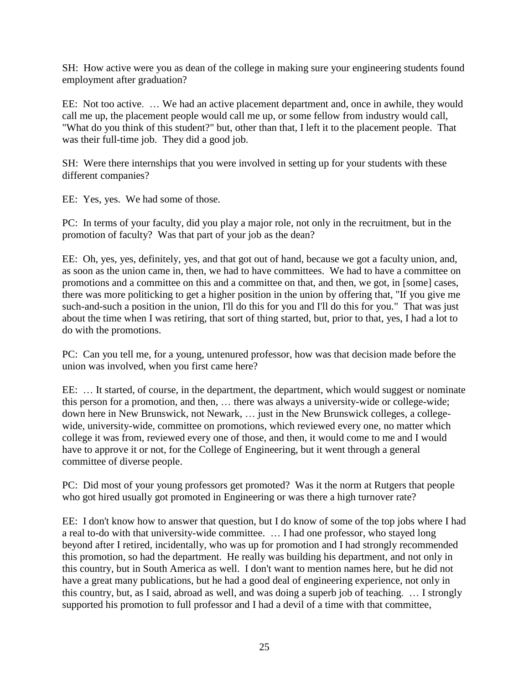SH: How active were you as dean of the college in making sure your engineering students found employment after graduation?

EE: Not too active. … We had an active placement department and, once in awhile, they would call me up, the placement people would call me up, or some fellow from industry would call, "What do you think of this student?" but, other than that, I left it to the placement people. That was their full-time job. They did a good job.

SH: Were there internships that you were involved in setting up for your students with these different companies?

EE: Yes, yes. We had some of those.

PC: In terms of your faculty, did you play a major role, not only in the recruitment, but in the promotion of faculty? Was that part of your job as the dean?

EE: Oh, yes, yes, definitely, yes, and that got out of hand, because we got a faculty union, and, as soon as the union came in, then, we had to have committees. We had to have a committee on promotions and a committee on this and a committee on that, and then, we got, in [some] cases, there was more politicking to get a higher position in the union by offering that, "If you give me such-and-such a position in the union, I'll do this for you and I'll do this for you." That was just about the time when I was retiring, that sort of thing started, but, prior to that, yes, I had a lot to do with the promotions.

PC: Can you tell me, for a young, untenured professor, how was that decision made before the union was involved, when you first came here?

EE: … It started, of course, in the department, the department, which would suggest or nominate this person for a promotion, and then, … there was always a university-wide or college-wide; down here in New Brunswick, not Newark, … just in the New Brunswick colleges, a collegewide, university-wide, committee on promotions, which reviewed every one, no matter which college it was from, reviewed every one of those, and then, it would come to me and I would have to approve it or not, for the College of Engineering, but it went through a general committee of diverse people.

PC: Did most of your young professors get promoted? Was it the norm at Rutgers that people who got hired usually got promoted in Engineering or was there a high turnover rate?

EE: I don't know how to answer that question, but I do know of some of the top jobs where I had a real to-do with that university-wide committee. … I had one professor, who stayed long beyond after I retired, incidentally, who was up for promotion and I had strongly recommended this promotion, so had the department. He really was building his department, and not only in this country, but in South America as well. I don't want to mention names here, but he did not have a great many publications, but he had a good deal of engineering experience, not only in this country, but, as I said, abroad as well, and was doing a superb job of teaching. … I strongly supported his promotion to full professor and I had a devil of a time with that committee,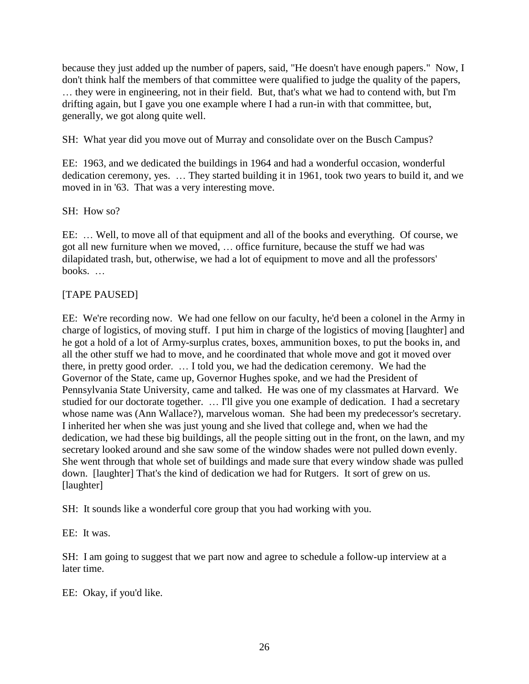because they just added up the number of papers, said, "He doesn't have enough papers." Now, I don't think half the members of that committee were qualified to judge the quality of the papers, … they were in engineering, not in their field. But, that's what we had to contend with, but I'm drifting again, but I gave you one example where I had a run-in with that committee, but, generally, we got along quite well.

SH: What year did you move out of Murray and consolidate over on the Busch Campus?

EE: 1963, and we dedicated the buildings in 1964 and had a wonderful occasion, wonderful dedication ceremony, yes. … They started building it in 1961, took two years to build it, and we moved in in '63. That was a very interesting move.

## SH: How so?

EE: … Well, to move all of that equipment and all of the books and everything. Of course, we got all new furniture when we moved, … office furniture, because the stuff we had was dilapidated trash, but, otherwise, we had a lot of equipment to move and all the professors' books. …

# [TAPE PAUSED]

EE: We're recording now. We had one fellow on our faculty, he'd been a colonel in the Army in charge of logistics, of moving stuff. I put him in charge of the logistics of moving [laughter] and he got a hold of a lot of Army-surplus crates, boxes, ammunition boxes, to put the books in, and all the other stuff we had to move, and he coordinated that whole move and got it moved over there, in pretty good order. … I told you, we had the dedication ceremony. We had the Governor of the State, came up, Governor Hughes spoke, and we had the President of Pennsylvania State University, came and talked. He was one of my classmates at Harvard. We studied for our doctorate together. … I'll give you one example of dedication. I had a secretary whose name was (Ann Wallace?), marvelous woman. She had been my predecessor's secretary. I inherited her when she was just young and she lived that college and, when we had the dedication, we had these big buildings, all the people sitting out in the front, on the lawn, and my secretary looked around and she saw some of the window shades were not pulled down evenly. She went through that whole set of buildings and made sure that every window shade was pulled down. [laughter] That's the kind of dedication we had for Rutgers. It sort of grew on us. [laughter]

SH: It sounds like a wonderful core group that you had working with you.

EE: It was.

SH: I am going to suggest that we part now and agree to schedule a follow-up interview at a later time.

EE: Okay, if you'd like.